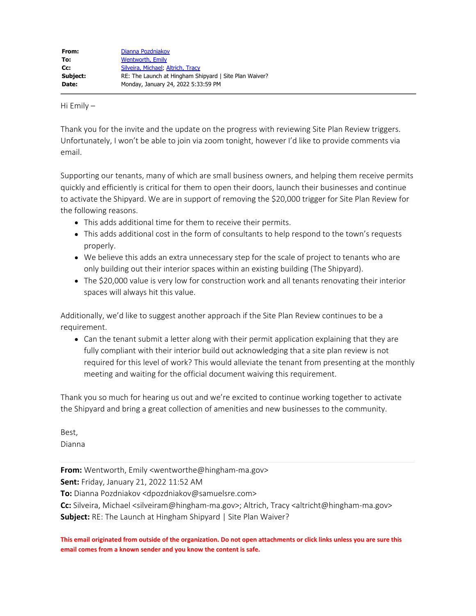Hi Emily –

Thank you for the invite and the update on the progress with reviewing Site Plan Review triggers. Unfortunately, I won't be able to join via zoom tonight, however I'd like to provide comments via email.

Supporting our tenants, many of which are small business owners, and helping them receive permits quickly and efficiently is critical for them to open their doors, launch their businesses and continue to activate the Shipyard. We are in support of removing the \$20,000 trigger for Site Plan Review for the following reasons.

- This adds additional time for them to receive their permits.
- This adds additional cost in the form of consultants to help respond to the town's requests properly.
- We believe this adds an extra unnecessary step for the scale of project to tenants who are only building out their interior spaces within an existing building (The Shipyard).
- The \$20,000 value is very low for construction work and all tenants renovating their interior spaces will always hit this value.

Additionally, we'd like to suggest another approach if the Site Plan Review continues to be a requirement.

Can the tenant submit a letter along with their permit application explaining that they are fully compliant with their interior build out acknowledging that a site plan review is not required for this level of work? This would alleviate the tenant from presenting at the monthly meeting and waiting for the official document waiving this requirement.

Thank you so much for hearing us out and we're excited to continue working together to activate the Shipyard and bring a great collection of amenities and new businesses to the community.

Best, Dianna

**From:** Wentworth, Emily <wentworthe@hingham-ma.gov>

**Sent:** Friday, January 21, 2022 11:52 AM

**To:** Dianna Pozdniakov <dpozdniakov@samuelsre.com>

**Cc:** Silveira, Michael <silveiram@hingham-ma.gov>; Altrich, Tracy <altricht@hingham-ma.gov> **Subject:** RE: The Launch at Hingham Shipyard | Site Plan Waiver?

**This email originated from outside of the organization. Do not open attachments or click links unless you are sure this email comes from a known sender and you know the content is safe.**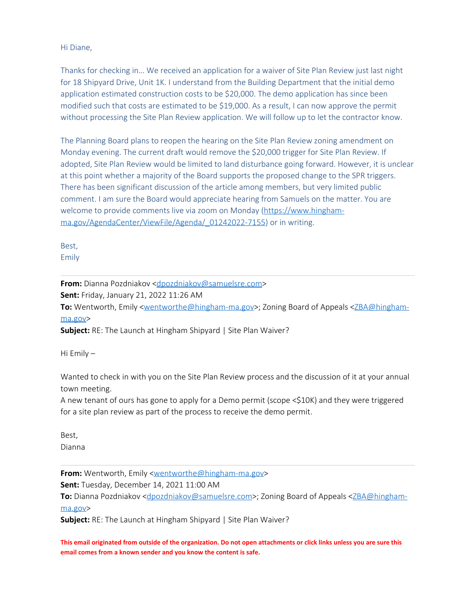Hi Diane,

Thanks for checking in… We received an application for a waiver of Site Plan Review just last night for 18 Shipyard Drive, Unit 1K. I understand from the Building Department that the initial demo application estimated construction costs to be \$20,000. The demo application has since been modified such that costs are estimated to be \$19,000. As a result, I can now approve the permit without processing the Site Plan Review application. We will follow up to let the contractor know.

The Planning Board plans to reopen the hearing on the Site Plan Review zoning amendment on Monday evening. The current draft would remove the \$20,000 trigger for Site Plan Review. If adopted, Site Plan Review would be limited to land disturbance going forward. However, it is unclear at this point whether a majority of the Board supports the proposed change to the SPR triggers. There has been significant discussion of the article among members, but very limited public comment. I am sure the Board would appreciate hearing from Samuels on the matter. You are welcome to provide comments live via zoom on Monday [\(https://www.hingham](https://www.hingham-ma.gov/AgendaCenter/ViewFile/Agenda/_01242022-7155)[ma.gov/AgendaCenter/ViewFile/Agenda/\\_01242022-7155](https://www.hingham-ma.gov/AgendaCenter/ViewFile/Agenda/_01242022-7155)) or in writing.

Best, Emily

**From:** Dianna Pozdniakov [<dpozdniakov@samuelsre.com](mailto:dpozdniakov@samuelsre.com)>

**Sent:** Friday, January 21, 2022 11:26 AM

**To:** Wentworth, Emily [<wentworthe@hingham-ma.gov](mailto:wentworthe@hingham-ma.gov)>; Zoning Board of Appeals [<ZBA@hingham](mailto:ZBA@hingham-ma.gov)[ma.gov](mailto:ZBA@hingham-ma.gov)>

**Subject:** RE: The Launch at Hingham Shipyard | Site Plan Waiver?

Hi Emily –

Wanted to check in with you on the Site Plan Review process and the discussion of it at your annual town meeting.

A new tenant of ours has gone to apply for a Demo permit (scope <\$10K) and they were triggered for a site plan review as part of the process to receive the demo permit.

Best, Dianna

**From:** Wentworth, Emily <**wentworthe@hingham-ma.gov>** 

**Sent:** Tuesday, December 14, 2021 11:00 AM

To: Dianna Pozdniakov [<dpozdniakov@samuelsre.com](mailto:dpozdniakov@samuelsre.com)>; Zoning Board of Appeals <[ZBA@hingham](mailto:ZBA@hingham-ma.gov)[ma.gov](mailto:ZBA@hingham-ma.gov)>

**Subject:** RE: The Launch at Hingham Shipyard | Site Plan Waiver?

**This email originated from outside of the organization. Do not open attachments or click links unless you are sure this email comes from a known sender and you know the content is safe.**